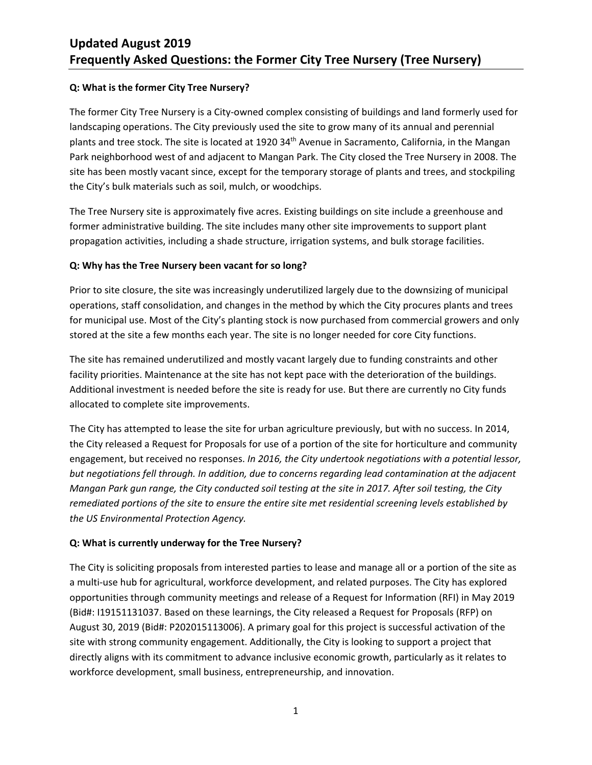#### **Q: What is the former City Tree Nursery?**

The former City Tree Nursery is a City-owned complex consisting of buildings and land formerly used for landscaping operations. The City previously used the site to grow many of its annual and perennial plants and tree stock. The site is located at 1920 34th Avenue in Sacramento, California, in the Mangan Park neighborhood west of and adjacent to Mangan Park. The City closed the Tree Nursery in 2008. The site has been mostly vacant since, except for the temporary storage of plants and trees, and stockpiling the City's bulk materials such as soil, mulch, or woodchips.

The Tree Nursery site is approximately five acres. Existing buildings on site include a greenhouse and former administrative building. The site includes many other site improvements to support plant propagation activities, including a shade structure, irrigation systems, and bulk storage facilities.

### **Q: Why has the Tree Nursery been vacant for so long?**

Prior to site closure, the site was increasingly underutilized largely due to the downsizing of municipal operations, staff consolidation, and changes in the method by which the City procures plants and trees for municipal use. Most of the City's planting stock is now purchased from commercial growers and only stored at the site a few months each year. The site is no longer needed for core City functions.

The site has remained underutilized and mostly vacant largely due to funding constraints and other facility priorities. Maintenance at the site has not kept pace with the deterioration of the buildings. Additional investment is needed before the site is ready for use. But there are currently no City funds allocated to complete site improvements.

The City has attempted to lease the site for urban agriculture previously, but with no success. In 2014, the City released a Request for Proposals for use of a portion of the site for horticulture and community engagement, but received no responses. *In 2016, the City undertook negotiations with a potential lessor, but negotiations fell through. In addition, due to concerns regarding lead contamination at the adjacent Mangan Park gun range, the City conducted soil testing at the site in 2017. After soil testing, the City remediated portions of the site to ensure the entire site met residential screening levels established by the US Environmental Protection Agency.* 

#### **Q: What is currently underway for the Tree Nursery?**

The City is soliciting proposals from interested parties to lease and manage all or a portion of the site as a multi-use hub for agricultural, workforce development, and related purposes. The City has explored opportunities through community meetings and release of a Request for Information (RFI) in May 2019 (Bid#: I19151131037. Based on these learnings, the City released a Request for Proposals (RFP) on August 30, 2019 (Bid#: P202015113006). A primary goal for this project is successful activation of the site with strong community engagement. Additionally, the City is looking to support a project that directly aligns with its commitment to advance inclusive economic growth, particularly as it relates to workforce development, small business, entrepreneurship, and innovation.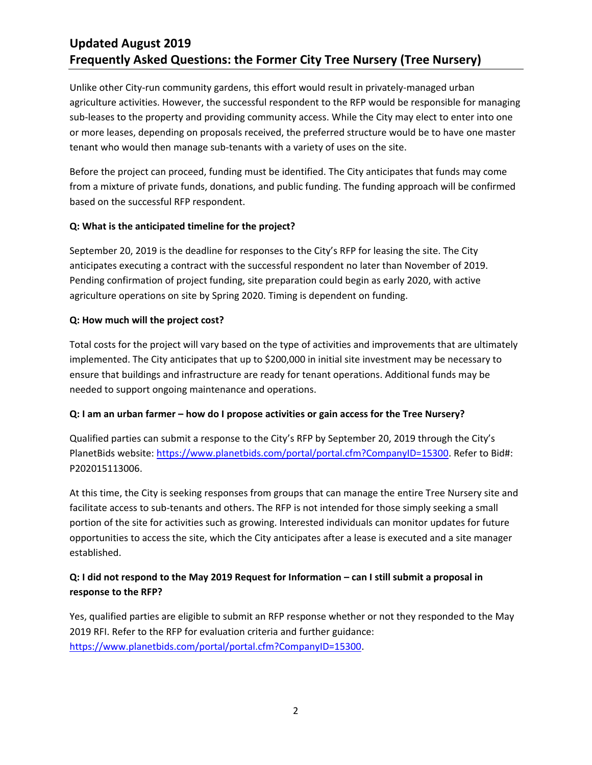# **Updated August 2019 Frequently Asked Questions: the Former City Tree Nursery (Tree Nursery)**

Unlike other City-run community gardens, this effort would result in privately-managed urban agriculture activities. However, the successful respondent to the RFP would be responsible for managing sub-leases to the property and providing community access. While the City may elect to enter into one or more leases, depending on proposals received, the preferred structure would be to have one master tenant who would then manage sub-tenants with a variety of uses on the site.

Before the project can proceed, funding must be identified. The City anticipates that funds may come from a mixture of private funds, donations, and public funding. The funding approach will be confirmed based on the successful RFP respondent.

### **Q: What is the anticipated timeline for the project?**

September 20, 2019 is the deadline for responses to the City's RFP for leasing the site. The City anticipates executing a contract with the successful respondent no later than November of 2019. Pending confirmation of project funding, site preparation could begin as early 2020, with active agriculture operations on site by Spring 2020. Timing is dependent on funding.

#### **Q: How much will the project cost?**

Total costs for the project will vary based on the type of activities and improvements that are ultimately implemented. The City anticipates that up to \$200,000 in initial site investment may be necessary to ensure that buildings and infrastructure are ready for tenant operations. Additional funds may be needed to support ongoing maintenance and operations.

### **Q: I am an urban farmer – how do I propose activities or gain access for the Tree Nursery?**

Qualified parties can submit a response to the City's RFP by September 20, 2019 through the City's PlanetBids website: [https://www.planetbids.com/portal/portal.cfm?CompanyID=15300.](https://www.planetbids.com/portal/portal.cfm?CompanyID=15300) Refer to Bid#: P202015113006.

At this time, the City is seeking responses from groups that can manage the entire Tree Nursery site and facilitate access to sub-tenants and others. The RFP is not intended for those simply seeking a small portion of the site for activities such as growing. Interested individuals can monitor updates for future opportunities to access the site, which the City anticipates after a lease is executed and a site manager established.

## **Q: I did not respond to the May 2019 Request for Information – can I still submit a proposal in response to the RFP?**

Yes, qualified parties are eligible to submit an RFP response whether or not they responded to the May 2019 RFI. Refer to the RFP for evaluation criteria and further guidance: [https://www.planetbids.com/portal/portal.cfm?CompanyID=15300.](https://www.planetbids.com/portal/portal.cfm?CompanyID=15300)